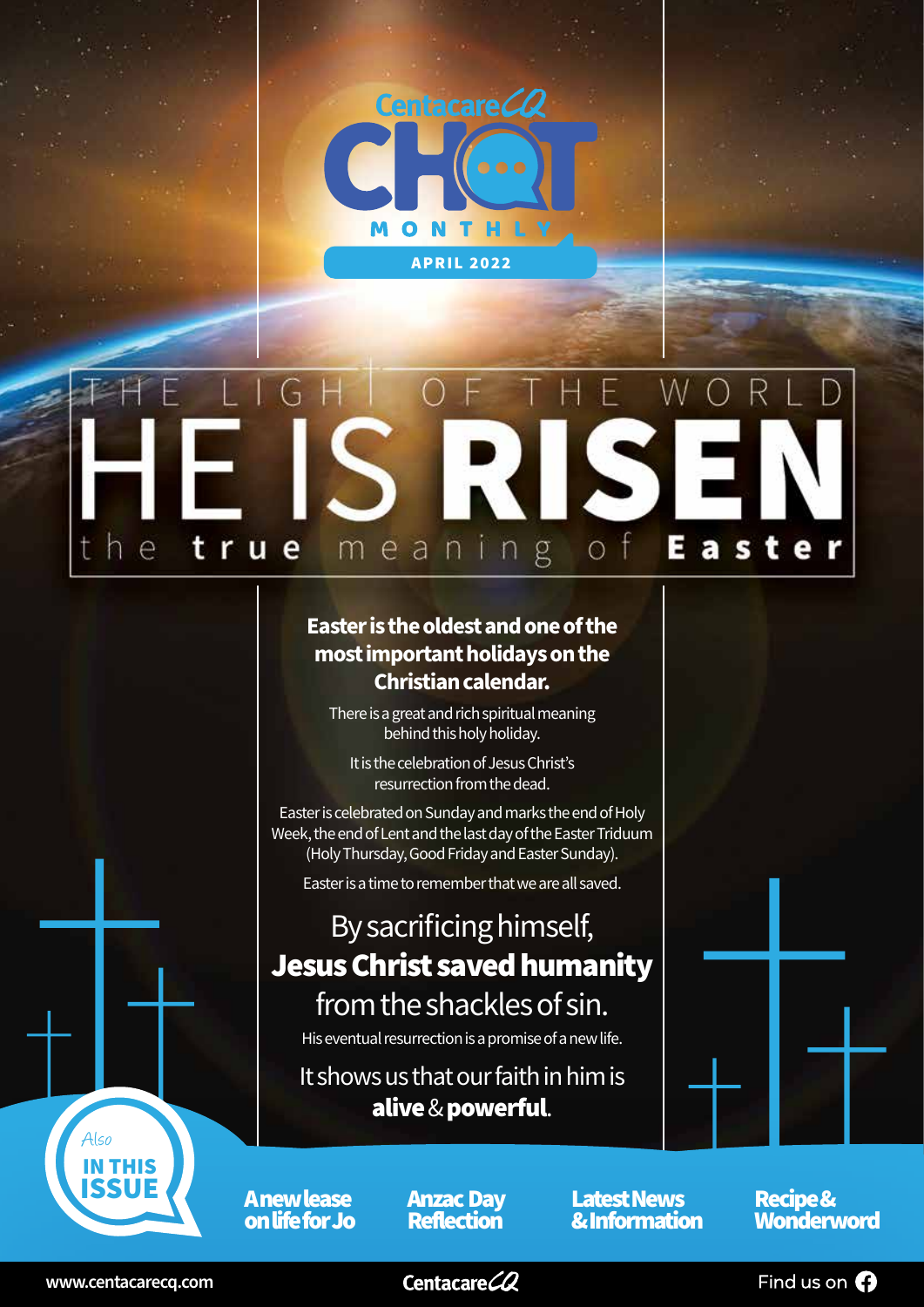

### **u** E t r e g a s meanin  $\circ$ е

### **Easter is the oldest and one of the most important holidays on the Christian calendar.**

There is a great and rich spiritual meaning behind this holy holiday.

It is the celebration of Jesus Christ's resurrection from the dead.

Easter is celebrated on Sunday and marks the end of Holy Week, the end of Lent and the last day of the Easter Triduum (Holy Thursday, Good Friday and Easter Sunday).

Easter is a time to remember that we are all saved.

### By sacrificing himself, Jesus Christ saved humanity from the shackles of sin.

His eventual resurrection is a promise of a new life.

It shows us that our faith in him is alive & powerful.

A new lease on life for Jo Anzac Day Reflection

Latest News **Latest News Recipe &<br>
<u>& Information</u> Wonderv** 

**Wonderword** 



IN THIS ISSUE

Also

Centacare<sup>CQ</sup>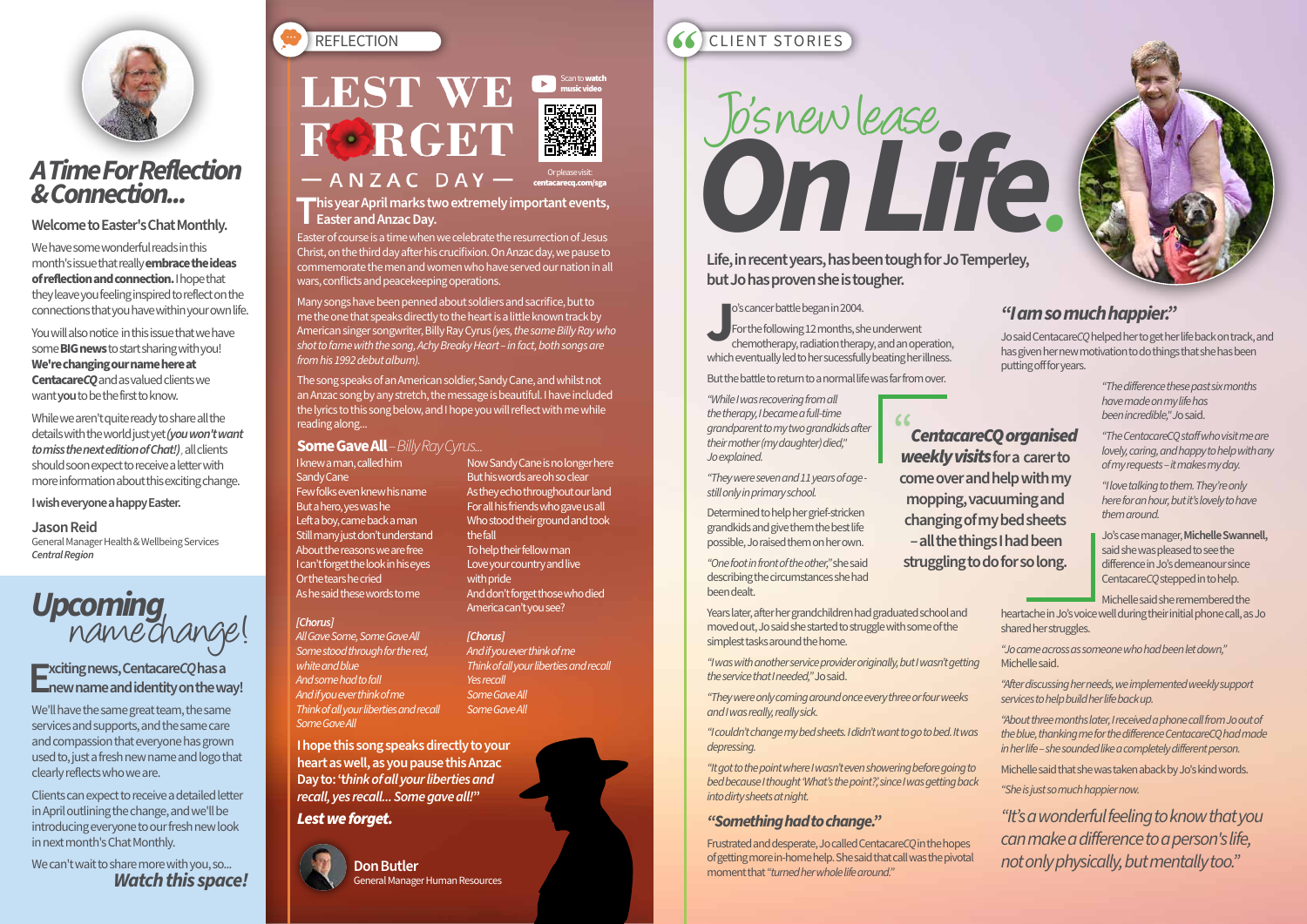o's cancer battle began in 2004.

o's cancer battle began in 2004.<br>For the following 12 months, she underwent<br>chemotherapy, radiation therapy, and an operation,<br>which eventually led to her sucessfully beating her illness. For the following 12 months, she underwent chemotherapy, radiation therapy, and an operation,

But the battle to return to a normal life was far from over.

*"While I was recovering from all the therapy, I became a full-time grandparent to my two grandkids after their mother (my daughter) died," Jo explained.*

*"They were seven and 11 years of age still only in primary school.*

Determined to help her grief-stricken grandkids and give them the best life possible, Jo raised them on her own.

*"One foot in front of the other,"* she said describing the circumstances she had been dealt.

Years later, after her grandchildren had graduated school and moved out, Jo said she started to struggle with some of the simplest tasks around the home.

*"I was with another service provider originally, but I wasn't getting the service that I needed,"* Jo said.

*"They were only coming around once every three or four weeks and I was really, really sick.*

*"I couldn't change my bed sheets. I didn't want to go to bed. It was depressing.*

*"It got to the point where I wasn't even showering before going to bed because I thought 'What's the point?', since I was getting back into dirty sheets at night.*

### *"Something had to change."*

Frustrated and desperate, Jo called Centacare*CQ* in the hopes of getting more in-home help. She said that call was the pivotal moment that *"turned her whole life around."*

### *"I am so much happier."*

Jo said Centacare*CQ* helped her to get her life back on track, and has given her new motivation to do things that she has been putting off for years.

> *"The difference these past six months have made on my life has been incredible," J*o said.

*"The CentacareCQ staff who visit me are lovely, caring, and happy to help with any of my requests – it makes my day.*

*"I love talking to them. They're only here for an hour, but it's lovely to have them around.*

Jo's case manager, **Michelle Swannell,** said she was pleased to see the difference in Jo's demeanour since Centacare*CQ* stepped in to help.

Michelle said she remembered the

heartache in Jo's voice well during their initial phone call, as Jo shared her struggles.

*"Jo came across as someone who had been let down,"* Michelle said.

We can't wait to share more with you, so... *Watch this space!*



### **LEST WE FORGET**  $-MZACDAY -$

*"After discussing her needs, we implemented weekly support services to help build her life back up.*

*"About three months later, I received a phone call from Jo out of the blue, thanking me for the difference CentacareCQ had made in her life – she sounded like a completely different person.*

Michelle said that she was taken aback by Jo's kind words.

*"She is just so much happier now.* 

*"It's a wonderful feeling to know that you can make a difference to a person's life, not only physically, but mentally too."*

**This year April marks two extremely important events, Easter and Anzac Day.**

### **Welcome to Easter's Chat Monthly.**

We have some wonderful reads in this month's issue that really **embrace the ideas of reflection and connection.** I hope that they leave you feeling inspired to reflect on the connections that you have within your own life.

Many songs have been penned about soldiers and sacrifice, but to me the one that speaks directly to the heart is a little known track by American singer songwriter, Billy Ray Cyrus *(yes, the same Billy Ray who shot to fame with the song, Achy Breaky Heart – in fact, both songs are from his 1992 debut album).* 

You will also notice in this issue that we have some **BIG news** to start sharing with you! **We're changing our name here at Centacare***CQ*and as valued clients we want **you** to be the first to know.

While we aren't quite ready to share all the details with the world just yet*(you won't want to miss the next edition of Chat!) ,* all clients should soon expect to receive a letter with more information about this exciting change.

### **I wish everyone a happy Easter.**

#### **Jason Reid**

General Manager Health & Wellbeing Services *Central Region*

## **Upcoming**<br>
name change!



### *A Time For Reflection & Connection...*

# Jo's new lease *On Life.*

**Life, in recent years, has been tough for Jo Temperley, but Jo has proven she is tougher.**

### **"** *weekly visits* **for a carer to come over and help with my**

*CentacareCQ organised*  **mopping, vacuuming and changing of my bed sheets – all the things I had been struggling to do for so long.**

**Don Butler** General Manager Human Resources

### REFLECTION<br>**Example 2008 Reserved And Scantowatch**<br>**CLIENT STORIES**



centacarecq.com/sga

Scan to **watch** 

### **Exciting news, Centacare***CQ* **has a new name and identity on the way!**

We'll have the same great team, the same services and supports, and the same care and compassion that everyone has grown used to, just a fresh new name and logo that clearly reflects who we are.

Clients can expect to receive a detailed letter in April outlining the change, and we'll be introducing everyone to our fresh new look in next month's Chat Monthly.

I knew a man, called him Sandy Cane Few folks even knew his name But a hero, yes was he Left a boy, came back a man Still many just don't understand About the reasons we are free I can't forget the look in his eyes Or the tears he cried As he said these words to me

### *[Chorus]*

*All Gave Some, Some Gave All Some stood through for the red, white and blue And some had to fall And if you ever think of me Think of all your liberties and recall Some Gave All*

Now Sandy Cane is no longer here But his words are oh so clear As they echo throughout our land For all his friends who gave us all Who stood their ground and took

the fall

To help their fellow man Love your country and live

with pride

And don't forget those who died

America can't you see?



*[Chorus] And if you ever think of me Think of all your liberties and recall Yes recall Some Gave All Some Gave All*

Easter of course is a time when we celebrate the resurrection of Jesus Christ, on the third day after his crucifixion. On Anzac day, we pause to commemorate the men and women who have served our nation in all wars, conflicts and peacekeeping operations.

The song speaks of an American soldier, Sandy Cane, and whilst not an Anzac song by any stretch, the message is beautiful. I have included the lyrics to this song below, and I hope you will reflect with me while reading along...

### **Some Gave All** *– Billy Ray Cyrus...*

**I hope this song speaks directly to your heart as well, as you pause this Anzac Day to: 't***hink of all your liberties and recall, yes recall... Some gave all!***"**

### *Lest we forget.*